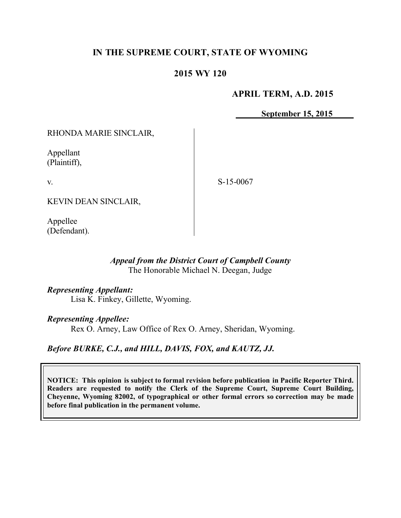# **IN THE SUPREME COURT, STATE OF WYOMING**

# **2015 WY 120**

# **APRIL TERM, A.D. 2015**

**September 15, 2015**

RHONDA MARIE SINCLAIR,

Appellant (Plaintiff),

v.

S-15-0067

KEVIN DEAN SINCLAIR,

Appellee (Defendant).

## *Appeal from the District Court of Campbell County* The Honorable Michael N. Deegan, Judge

### *Representing Appellant:*

Lisa K. Finkey, Gillette, Wyoming.

### *Representing Appellee:*

Rex O. Arney, Law Office of Rex O. Arney, Sheridan, Wyoming.

# *Before BURKE, C.J., and HILL, DAVIS, FOX, and KAUTZ, JJ.*

**NOTICE: This opinion is subject to formal revision before publication in Pacific Reporter Third. Readers are requested to notify the Clerk of the Supreme Court, Supreme Court Building, Cheyenne, Wyoming 82002, of typographical or other formal errors so correction may be made before final publication in the permanent volume.**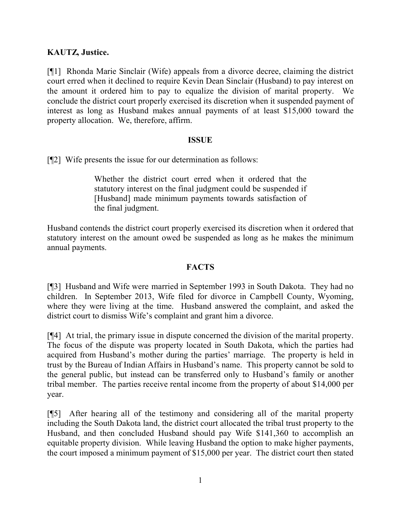# **KAUTZ, Justice.**

[¶1] Rhonda Marie Sinclair (Wife) appeals from a divorce decree, claiming the district court erred when it declined to require Kevin Dean Sinclair (Husband) to pay interest on the amount it ordered him to pay to equalize the division of marital property. We conclude the district court properly exercised its discretion when it suspended payment of interest as long as Husband makes annual payments of at least \$15,000 toward the property allocation. We, therefore, affirm.

## **ISSUE**

[¶2] Wife presents the issue for our determination as follows:

Whether the district court erred when it ordered that the statutory interest on the final judgment could be suspended if [Husband] made minimum payments towards satisfaction of the final judgment.

Husband contends the district court properly exercised its discretion when it ordered that statutory interest on the amount owed be suspended as long as he makes the minimum annual payments.

# **FACTS**

[¶3] Husband and Wife were married in September 1993 in South Dakota. They had no children. In September 2013, Wife filed for divorce in Campbell County, Wyoming, where they were living at the time. Husband answered the complaint, and asked the district court to dismiss Wife's complaint and grant him a divorce.

[¶4] At trial, the primary issue in dispute concerned the division of the marital property. The focus of the dispute was property located in South Dakota, which the parties had acquired from Husband's mother during the parties' marriage. The property is held in trust by the Bureau of Indian Affairs in Husband's name. This property cannot be sold to the general public, but instead can be transferred only to Husband's family or another tribal member. The parties receive rental income from the property of about \$14,000 per year.

[¶5] After hearing all of the testimony and considering all of the marital property including the South Dakota land, the district court allocated the tribal trust property to the Husband, and then concluded Husband should pay Wife \$141,360 to accomplish an equitable property division. While leaving Husband the option to make higher payments, the court imposed a minimum payment of \$15,000 per year. The district court then stated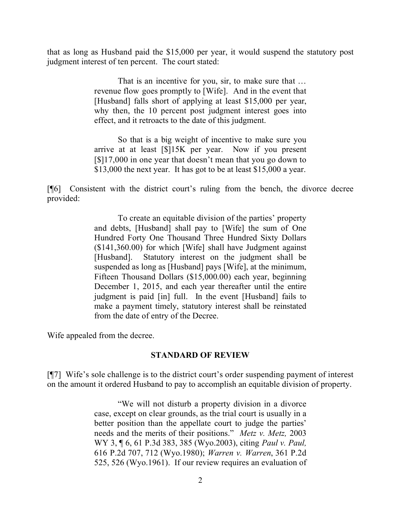that as long as Husband paid the \$15,000 per year, it would suspend the statutory post judgment interest of ten percent. The court stated:

> That is an incentive for you, sir, to make sure that … revenue flow goes promptly to [Wife]. And in the event that [Husband] falls short of applying at least \$15,000 per year, why then, the 10 percent post judgment interest goes into effect, and it retroacts to the date of this judgment.

> So that is a big weight of incentive to make sure you arrive at at least [\$]15K per year. Now if you present [\$]17,000 in one year that doesn't mean that you go down to \$13,000 the next year. It has got to be at least \$15,000 a year.

[¶6] Consistent with the district court's ruling from the bench, the divorce decree provided:

> To create an equitable division of the parties' property and debts, [Husband] shall pay to [Wife] the sum of One Hundred Forty One Thousand Three Hundred Sixty Dollars (\$141,360.00) for which [Wife] shall have Judgment against [Husband]. Statutory interest on the judgment shall be suspended as long as [Husband] pays [Wife], at the minimum, Fifteen Thousand Dollars (\$15,000.00) each year, beginning December 1, 2015, and each year thereafter until the entire judgment is paid [in] full. In the event [Husband] fails to make a payment timely, statutory interest shall be reinstated from the date of entry of the Decree.

Wife appealed from the decree.

### **STANDARD OF REVIEW**

[¶7] Wife's sole challenge is to the district court's order suspending payment of interest on the amount it ordered Husband to pay to accomplish an equitable division of property.

> "We will not disturb a property division in a divorce case, except on clear grounds, as the trial court is usually in a better position than the appellate court to judge the parties' needs and the merits of their positions." *Metz v. Metz,* 2003 WY 3, ¶ 6, 61 P.3d 383, 385 (Wyo.2003), citing *Paul v. Paul,* 616 P.2d 707, 712 (Wyo.1980); *Warren v. Warren*, 361 P.2d 525, 526 (Wyo.1961). If our review requires an evaluation of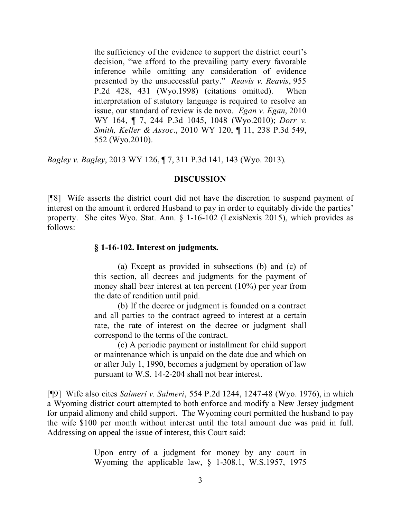the sufficiency of the evidence to support the district court's decision, "we afford to the prevailing party every favorable inference while omitting any consideration of evidence presented by the unsuccessful party." *Reavis v. Reavis*, 955 P.2d 428, 431 (Wyo.1998) (citations omitted). When interpretation of statutory language is required to resolve an issue, our standard of review is de novo. *Egan v. Egan*, 2010 WY 164, ¶ 7, 244 P.3d 1045, 1048 (Wyo.2010); *Dorr v. Smith, Keller & Assoc*., 2010 WY 120, ¶ 11, 238 P.3d 549, 552 (Wyo.2010).

*Bagley v. Bagley*, 2013 WY 126, ¶ 7, 311 P.3d 141, 143 (Wyo. 2013).

### **DISCUSSION**

[¶8] Wife asserts the district court did not have the discretion to suspend payment of interest on the amount it ordered Husband to pay in order to equitably divide the parties' property. She cites Wyo. Stat. Ann. § 1-16-102 (LexisNexis 2015), which provides as follows:

## **§ 1-16-102. Interest on judgments.**

(a) Except as provided in subsections (b) and (c) of this section, all decrees and judgments for the payment of money shall bear interest at ten percent (10%) per year from the date of rendition until paid.

(b) If the decree or judgment is founded on a contract and all parties to the contract agreed to interest at a certain rate, the rate of interest on the decree or judgment shall correspond to the terms of the contract.

(c) A periodic payment or installment for child support or maintenance which is unpaid on the date due and which on or after July 1, 1990, becomes a judgment by operation of law pursuant to W.S. 14-2-204 shall not bear interest.

[¶9] Wife also cites *Salmeri v. Salmeri*, 554 P.2d 1244, 1247-48 (Wyo. 1976), in which a Wyoming district court attempted to both enforce and modify a New Jersey judgment for unpaid alimony and child support. The Wyoming court permitted the husband to pay the wife \$100 per month without interest until the total amount due was paid in full. Addressing on appeal the issue of interest, this Court said:

> Upon entry of a judgment for money by any court in Wyoming the applicable law, § 1-308.1, W.S.1957, 1975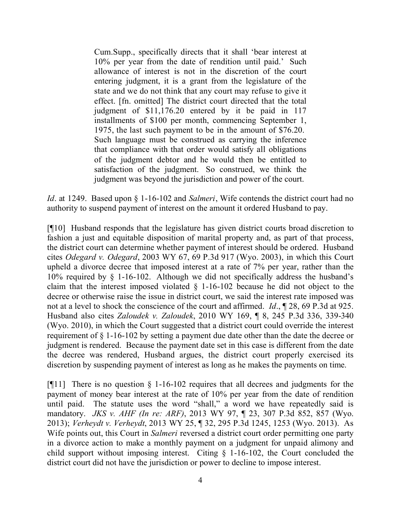Cum.Supp., specifically directs that it shall 'bear interest at 10% per year from the date of rendition until paid.' Such allowance of interest is not in the discretion of the court entering judgment, it is a grant from the legislature of the state and we do not think that any court may refuse to give it effect. [fn. omitted] The district court directed that the total judgment of \$11,176.20 entered by it be paid in 117 installments of \$100 per month, commencing September 1, 1975, the last such payment to be in the amount of \$76.20. Such language must be construed as carrying the inference that compliance with that order would satisfy all obligations of the judgment debtor and he would then be entitled to satisfaction of the judgment. So construed, we think the judgment was beyond the jurisdiction and power of the court.

*Id*. at 1249. Based upon § 1-16-102 and *Salmeri*, Wife contends the district court had no authority to suspend payment of interest on the amount it ordered Husband to pay.

[¶10] Husband responds that the legislature has given district courts broad discretion to fashion a just and equitable disposition of marital property and, as part of that process, the district court can determine whether payment of interest should be ordered. Husband cites *Odegard v. Odegard*, 2003 WY 67, 69 P.3d 917 (Wyo. 2003), in which this Court upheld a divorce decree that imposed interest at a rate of 7% per year, rather than the 10% required by § 1-16-102. Although we did not specifically address the husband's claim that the interest imposed violated § 1-16-102 because he did not object to the decree or otherwise raise the issue in district court, we said the interest rate imposed was not at a level to shock the conscience of the court and affirmed. *Id*., ¶ 28, 69 P.3d at 925. Husband also cites *Zaloudek v. Zaloudek*, 2010 WY 169, ¶ 8, 245 P.3d 336, 339-340 (Wyo. 2010), in which the Court suggested that a district court could override the interest requirement of § 1-16-102 by setting a payment due date other than the date the decree or judgment is rendered. Because the payment date set in this case is different from the date the decree was rendered, Husband argues, the district court properly exercised its discretion by suspending payment of interest as long as he makes the payments on time.

[ $[$ [11] There is no question  $\S$  1-16-102 requires that all decrees and judgments for the payment of money bear interest at the rate of 10% per year from the date of rendition until paid. The statute uses the word "shall," a word we have repeatedly said is mandatory. *JKS v. AHF (In re: ARF)*, 2013 WY 97, ¶ 23, 307 P.3d 852, 857 (Wyo. 2013); *Verheydt v. Verheydt*, 2013 WY 25, ¶ 32, 295 P.3d 1245, 1253 (Wyo. 2013). As Wife points out, this Court in *Salmeri* reversed a district court order permitting one party in a divorce action to make a monthly payment on a judgment for unpaid alimony and child support without imposing interest. Citing § 1-16-102, the Court concluded the district court did not have the jurisdiction or power to decline to impose interest.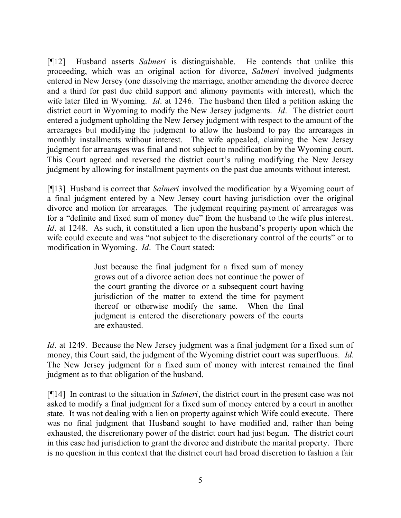[¶12] Husband asserts *Salmeri* is distinguishable. He contends that unlike this proceeding, which was an original action for divorce, *Salmeri* involved judgments entered in New Jersey (one dissolving the marriage, another amending the divorce decree and a third for past due child support and alimony payments with interest), which the wife later filed in Wyoming. *Id*. at 1246. The husband then filed a petition asking the district court in Wyoming to modify the New Jersey judgments. *Id*. The district court entered a judgment upholding the New Jersey judgment with respect to the amount of the arrearages but modifying the judgment to allow the husband to pay the arrearages in monthly installments without interest. The wife appealed, claiming the New Jersey judgment for arrearages was final and not subject to modification by the Wyoming court. This Court agreed and reversed the district court's ruling modifying the New Jersey judgment by allowing for installment payments on the past due amounts without interest.

[¶13] Husband is correct that *Salmeri* involved the modification by a Wyoming court of a final judgment entered by a New Jersey court having jurisdiction over the original divorce and motion for arrearages. The judgment requiring payment of arrearages was for a "definite and fixed sum of money due" from the husband to the wife plus interest. *Id*. at 1248. As such, it constituted a lien upon the husband's property upon which the wife could execute and was "not subject to the discretionary control of the courts" or to modification in Wyoming. *Id*. The Court stated:

> Just because the final judgment for a fixed sum of money grows out of a divorce action does not continue the power of the court granting the divorce or a subsequent court having jurisdiction of the matter to extend the time for payment thereof or otherwise modify the same. When the final judgment is entered the discretionary powers of the courts are exhausted.

*Id.* at 1249. Because the New Jersey judgment was a final judgment for a fixed sum of money, this Court said, the judgment of the Wyoming district court was superfluous. *Id*. The New Jersey judgment for a fixed sum of money with interest remained the final judgment as to that obligation of the husband.

[¶14] In contrast to the situation in *Salmeri*, the district court in the present case was not asked to modify a final judgment for a fixed sum of money entered by a court in another state. It was not dealing with a lien on property against which Wife could execute. There was no final judgment that Husband sought to have modified and, rather than being exhausted, the discretionary power of the district court had just begun. The district court in this case had jurisdiction to grant the divorce and distribute the marital property. There is no question in this context that the district court had broad discretion to fashion a fair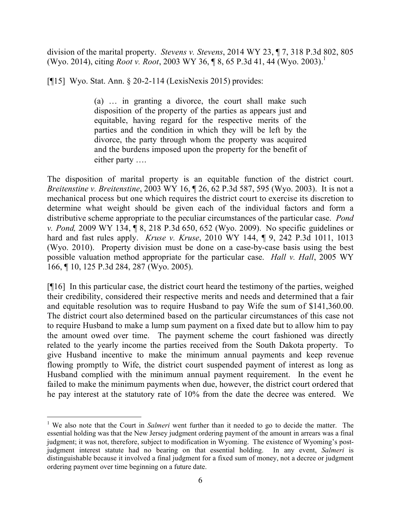division of the marital property. *Stevens v. Stevens*, 2014 WY 23, ¶ 7, 318 P.3d 802, 805 (Wyo. 2014), citing *Root v. Root*, 2003 WY 36, ¶ 8, 65 P.3d 41, 44 (Wyo. 2003).<sup>1</sup>

[¶15] Wyo. Stat. Ann. § 20-2-114 (LexisNexis 2015) provides:

(a) … in granting a divorce, the court shall make such disposition of the property of the parties as appears just and equitable, having regard for the respective merits of the parties and the condition in which they will be left by the divorce, the party through whom the property was acquired and the burdens imposed upon the property for the benefit of either party ….

The disposition of marital property is an equitable function of the district court. *Breitenstine v. Breitenstine*, 2003 WY 16, ¶ 26, 62 P.3d 587, 595 (Wyo. 2003). It is not a mechanical process but one which requires the district court to exercise its discretion to determine what weight should be given each of the individual factors and form a distributive scheme appropriate to the peculiar circumstances of the particular case. *Pond v. Pond,* 2009 WY 134, ¶ 8, 218 P.3d 650, 652 (Wyo. 2009). No specific guidelines or hard and fast rules apply. *Kruse v. Kruse*, 2010 WY 144, ¶ 9, 242 P.3d 1011, 1013 (Wyo. 2010). Property division must be done on a case-by-case basis using the best possible valuation method appropriate for the particular case. *Hall v. Hall*, 2005 WY 166, ¶ 10, 125 P.3d 284, 287 (Wyo. 2005).

[¶16] In this particular case, the district court heard the testimony of the parties, weighed their credibility, considered their respective merits and needs and determined that a fair and equitable resolution was to require Husband to pay Wife the sum of \$141,360.00. The district court also determined based on the particular circumstances of this case not to require Husband to make a lump sum payment on a fixed date but to allow him to pay the amount owed over time. The payment scheme the court fashioned was directly related to the yearly income the parties received from the South Dakota property. To give Husband incentive to make the minimum annual payments and keep revenue flowing promptly to Wife, the district court suspended payment of interest as long as Husband complied with the minimum annual payment requirement. In the event he failed to make the minimum payments when due, however, the district court ordered that he pay interest at the statutory rate of 10% from the date the decree was entered. We

 $\overline{a}$ 

<sup>&</sup>lt;sup>1</sup> We also note that the Court in *Salmeri* went further than it needed to go to decide the matter. The essential holding was that the New Jersey judgment ordering payment of the amount in arrears was a final judgment; it was not, therefore, subject to modification in Wyoming. The existence of Wyoming's postjudgment interest statute had no bearing on that essential holding. In any event, *Salmeri* is distinguishable because it involved a final judgment for a fixed sum of money, not a decree or judgment ordering payment over time beginning on a future date.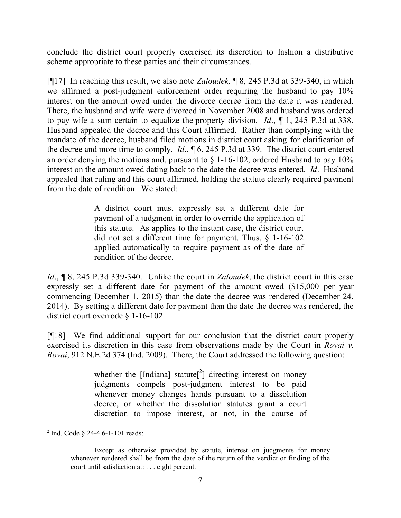conclude the district court properly exercised its discretion to fashion a distributive scheme appropriate to these parties and their circumstances.

[¶17] In reaching this result, we also note *Zaloudek,* ¶ 8, 245 P.3d at 339-340, in which we affirmed a post-judgment enforcement order requiring the husband to pay 10% interest on the amount owed under the divorce decree from the date it was rendered. There, the husband and wife were divorced in November 2008 and husband was ordered to pay wife a sum certain to equalize the property division. *Id*., ¶ 1, 245 P.3d at 338. Husband appealed the decree and this Court affirmed. Rather than complying with the mandate of the decree, husband filed motions in district court asking for clarification of the decree and more time to comply. *Id*., ¶ 6, 245 P.3d at 339. The district court entered an order denying the motions and, pursuant to  $\S$  1-16-102, ordered Husband to pay 10% interest on the amount owed dating back to the date the decree was entered. *Id*. Husband appealed that ruling and this court affirmed, holding the statute clearly required payment from the date of rendition. We stated:

> A district court must expressly set a different date for payment of a judgment in order to override the application of this statute. As applies to the instant case, the district court did not set a different time for payment. Thus, § 1-16-102 applied automatically to require payment as of the date of rendition of the decree.

*Id*., ¶ 8, 245 P.3d 339-340. Unlike the court in *Zaloudek*, the district court in this case expressly set a different date for payment of the amount owed (\$15,000 per year commencing December 1, 2015) than the date the decree was rendered (December 24, 2014). By setting a different date for payment than the date the decree was rendered, the district court overrode § 1-16-102.

[¶18] We find additional support for our conclusion that the district court properly exercised its discretion in this case from observations made by the Court in *Rovai v. Rovai*, 912 N.E.2d 374 (Ind. 2009). There, the Court addressed the following question:

> whether the [Indiana] statute<sup>[2</sup>] directing interest on money judgments compels post-judgment interest to be paid whenever money changes hands pursuant to a dissolution decree, or whether the dissolution statutes grant a court discretion to impose interest, or not, in the course of

<sup>&</sup>lt;sup>2</sup> Ind. Code § 24-4.6-1-101 reads:

Except as otherwise provided by statute, interest on judgments for money whenever rendered shall be from the date of the return of the verdict or finding of the court until satisfaction at: . . . eight percent.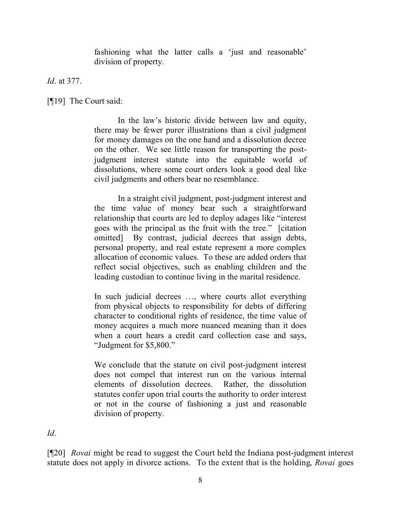fashioning what the latter calls a 'just and reasonable' division of property.

*Id*. at 377.

[¶19] The Court said:

In the law's historic divide between law and equity, there may be fewer purer illustrations than a civil judgment for money damages on the one hand and a dissolution decree on the other. We see little reason for transporting the postjudgment interest statute into the equitable world of dissolutions, where some court orders look a good deal like civil judgments and others bear no resemblance.

In a straight civil judgment, post-judgment interest and the time value of money bear such a straightforward relationship that courts are led to deploy adages like "interest goes with the principal as the fruit with the tree." [citation omitted] By contrast, judicial decrees that assign debts, personal property, and real estate represent a more complex allocation of economic values. To these are added orders that reflect social objectives, such as enabling children and the leading custodian to continue living in the marital residence.

In such judicial decrees …, where courts allot everything from physical objects to responsibility for debts of differing character to conditional rights of residence, the time value of money acquires a much more nuanced meaning than it does when a court hears a credit card collection case and says, "Judgment for \$5,800."

We conclude that the statute on civil post-judgment interest does not compel that interest run on the various internal elements of dissolution decrees. Rather, the dissolution statutes confer upon trial courts the authority to order interest or not in the course of fashioning a just and reasonable division of property.

*Id*.

[¶20] *Rovai* might be read to suggest the Court held the Indiana post-judgment interest statute does not apply in divorce actions. To the extent that is the holding, *Rovai* goes